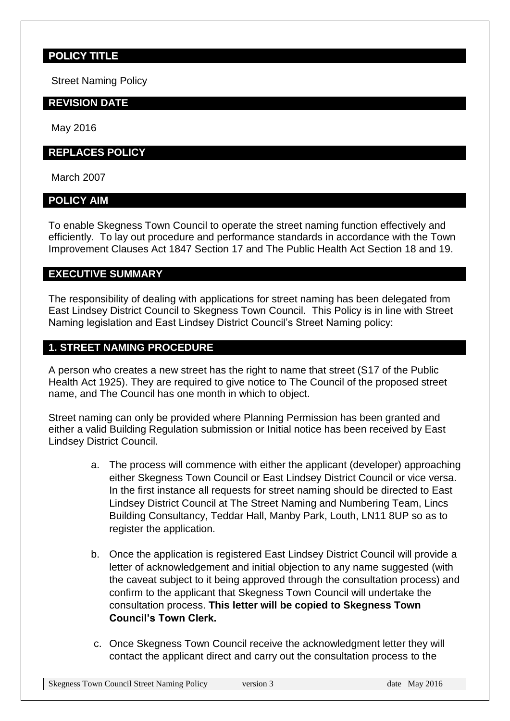# **POLICY TITLE**

Street Naming Policy

### **REVISION DATE**

May 2016

#### **REPLACES POLICY**

March 2007

### **POLICY AIM**

To enable Skegness Town Council to operate the street naming function effectively and efficiently. To lay out procedure and performance standards in accordance with the Town Improvement Clauses Act 1847 Section 17 and The Public Health Act Section 18 and 19.

## **EXECUTIVE SUMMARY**

The responsibility of dealing with applications for street naming has been delegated from East Lindsey District Council to Skegness Town Council. This Policy is in line with Street Naming legislation and East Lindsey District Council's Street Naming policy:

## **1. STREET NAMING PROCEDURE**

A person who creates a new street has the right to name that street (S17 of the Public Health Act 1925). They are required to give notice to The Council of the proposed street name, and The Council has one month in which to object.

Street naming can only be provided where Planning Permission has been granted and either a valid Building Regulation submission or Initial notice has been received by East Lindsey District Council.

- a. The process will commence with either the applicant (developer) approaching either Skegness Town Council or East Lindsey District Council or vice versa. In the first instance all requests for street naming should be directed to East Lindsey District Council at The Street Naming and Numbering Team, Lincs Building Consultancy, Teddar Hall, Manby Park, Louth, LN11 8UP so as to register the application.
- b. Once the application is registered East Lindsey District Council will provide a letter of acknowledgement and initial objection to any name suggested (with the caveat subject to it being approved through the consultation process) and confirm to the applicant that Skegness Town Council will undertake the consultation process. **This letter will be copied to Skegness Town Council's Town Clerk.**
- c. Once Skegness Town Council receive the acknowledgment letter they will contact the applicant direct and carry out the consultation process to the

Skegness Town Council Street Naming Policy version 3 date May 2016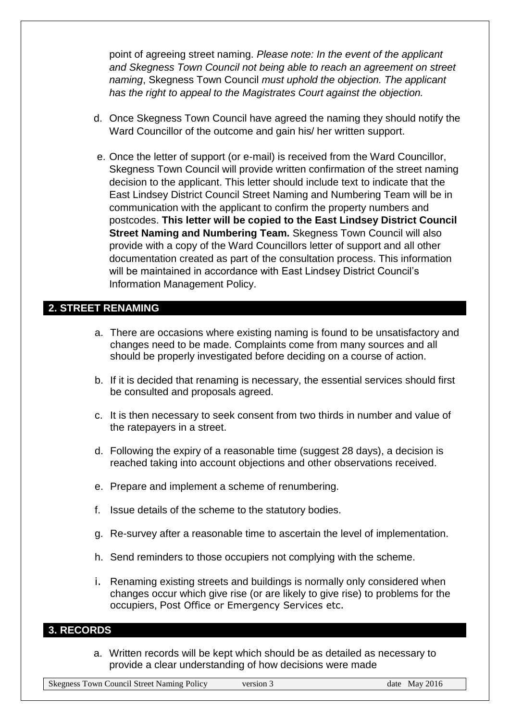point of agreeing street naming. *Please note: In the event of the applicant and Skegness Town Council not being able to reach an agreement on street naming*, Skegness Town Council *must uphold the objection. The applicant has the right to appeal to the Magistrates Court against the objection.* 

- d. Once Skegness Town Council have agreed the naming they should notify the Ward Councillor of the outcome and gain his/ her written support.
- e. Once the letter of support (or e-mail) is received from the Ward Councillor, Skegness Town Council will provide written confirmation of the street naming decision to the applicant. This letter should include text to indicate that the East Lindsey District Council Street Naming and Numbering Team will be in communication with the applicant to confirm the property numbers and postcodes. **This letter will be copied to the East Lindsey District Council Street Naming and Numbering Team.** Skegness Town Council will also provide with a copy of the Ward Councillors letter of support and all other documentation created as part of the consultation process. This information will be maintained in accordance with East Lindsey District Council's Information Management Policy.

### **2. STREET RENAMING**

- a. There are occasions where existing naming is found to be unsatisfactory and changes need to be made. Complaints come from many sources and all should be properly investigated before deciding on a course of action.
- b. If it is decided that renaming is necessary, the essential services should first be consulted and proposals agreed.
- c. It is then necessary to seek consent from two thirds in number and value of the ratepayers in a street.
- d. Following the expiry of a reasonable time (suggest 28 days), a decision is reached taking into account objections and other observations received.
- e. Prepare and implement a scheme of renumbering.
- f. Issue details of the scheme to the statutory bodies.
- g. Re-survey after a reasonable time to ascertain the level of implementation.
- h. Send reminders to those occupiers not complying with the scheme.
- i. Renaming existing streets and buildings is normally only considered when changes occur which give rise (or are likely to give rise) to problems for the occupiers, Post Office or Emergency Services etc.

### **3. RECORDS**

a. Written records will be kept which should be as detailed as necessary to provide a clear understanding of how decisions were made

Skegness Town Council Street Naming Policy version 3 date May 2016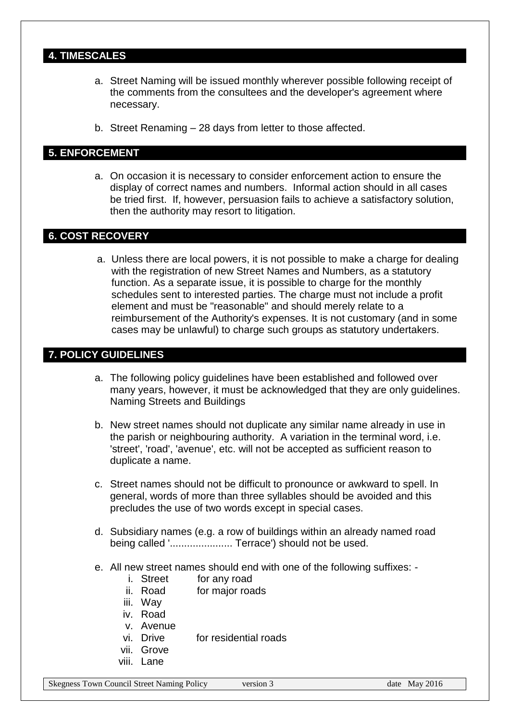# **4. TIMESCALES**

- a. Street Naming will be issued monthly wherever possible following receipt of the comments from the consultees and the developer's agreement where necessary.
- b. Street Renaming 28 days from letter to those affected.

## **5. ENFORCEMENT**

a. On occasion it is necessary to consider enforcement action to ensure the display of correct names and numbers. Informal action should in all cases be tried first. If, however, persuasion fails to achieve a satisfactory solution, then the authority may resort to litigation.

# **6. COST RECOVERY**

a. Unless there are local powers, it is not possible to make a charge for dealing with the registration of new Street Names and Numbers, as a statutory function. As a separate issue, it is possible to charge for the monthly schedules sent to interested parties. The charge must not include a profit element and must be "reasonable" and should merely relate to a reimbursement of the Authority's expenses. It is not customary (and in some cases may be unlawful) to charge such groups as statutory undertakers.

## **7. POLICY GUIDELINES**

- a. The following policy guidelines have been established and followed over many years, however, it must be acknowledged that they are only guidelines. Naming Streets and Buildings
- b. New street names should not duplicate any similar name already in use in the parish or neighbouring authority. A variation in the terminal word, i.e. 'street', 'road', 'avenue', etc. will not be accepted as sufficient reason to duplicate a name.
- c. Street names should not be difficult to pronounce or awkward to spell. In general, words of more than three syllables should be avoided and this precludes the use of two words except in special cases.
- d. Subsidiary names (e.g. a row of buildings within an already named road being called '......................... Terrace') should not be used.
- e. All new street names should end with one of the following suffixes:
	- i. Street for any road
	- ii. Road for major roads
	- iii. Way
	- iv. Road
	- v. Avenue
	- vi. Drive for residential roads
	- vii. Grove
	- viii. Lane

Skegness Town Council Street Naming Policy version 3 date May 2016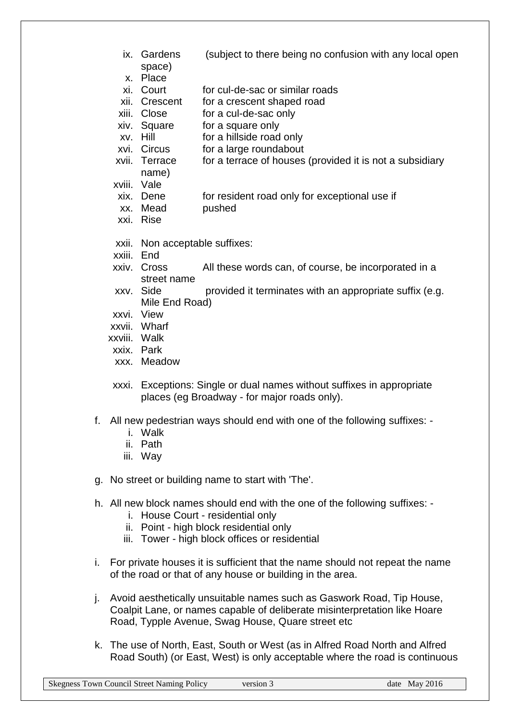- ix. Gardens (subject to there being no confusion with any local open space)
- x. Place
- xi. Court for cul-de-sac or similar roads
- xii. Crescent for a crescent shaped road
- xiii. Close for a cul-de-sac only
- xiv. Square for a square only
- xv. Hill for a hillside road only
- xvi. Circus for a large roundabout
- xvii. Terrace for a terrace of houses (provided it is not a subsidiary
- name)
- xviii. Vale
- xix. Dene for resident road only for exceptional use if
- xx. Mead pushed
- xxi. Rise
- xxii. Non acceptable suffixes:
- xxiii. End
- xxiv. Cross All these words can, of course, be incorporated in a street name
- xxv. Side provided it terminates with an appropriate suffix (e.g. Mile End Road)
- xxvi. View
- xxvii. Wharf
- xxviii. Walk
- xxix. Park
- xxx. Meadow
- xxxi. Exceptions: Single or dual names without suffixes in appropriate places (eg Broadway - for major roads only).
- f. All new pedestrian ways should end with one of the following suffixes:
	- i. Walk
	- ii. Path
	- iii. Way
- g. No street or building name to start with 'The'.
- h. All new block names should end with the one of the following suffixes:
	- i. House Court residential only
	- ii. Point high block residential only
	- iii. Tower high block offices or residential
- i. For private houses it is sufficient that the name should not repeat the name of the road or that of any house or building in the area.
- j. Avoid aesthetically unsuitable names such as Gaswork Road, Tip House, Coalpit Lane, or names capable of deliberate misinterpretation like Hoare Road, Typple Avenue, Swag House, Quare street etc
- k. The use of North, East, South or West (as in Alfred Road North and Alfred Road South) (or East, West) is only acceptable where the road is continuous